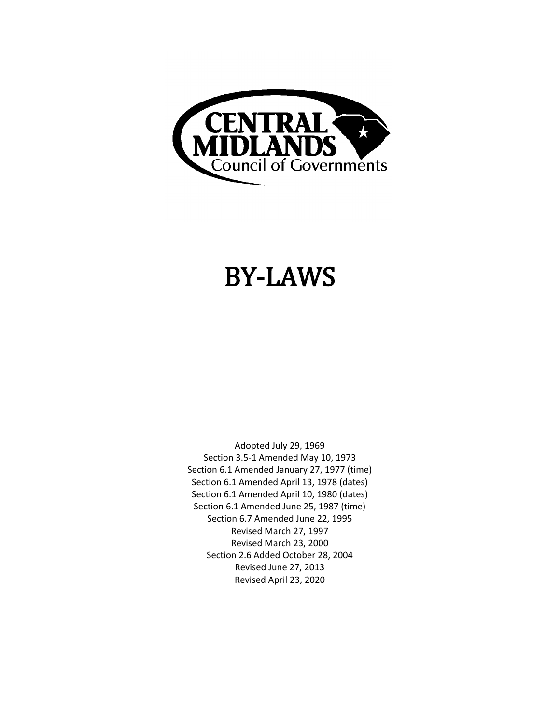

# BY-LAWS

Adopted July 29, 1969 Section 3.5-1 Amended May 10, 1973 Section 6.1 Amended January 27, 1977 (time) Section 6.1 Amended April 13, 1978 (dates) Section 6.1 Amended April 10, 1980 (dates) Section 6.1 Amended June 25, 1987 (time) Section 6.7 Amended June 22, 1995 Revised March 27, 1997 Revised March 23, 2000 Section 2.6 Added October 28, 2004 Revised June 27, 2013 Revised April 23, 2020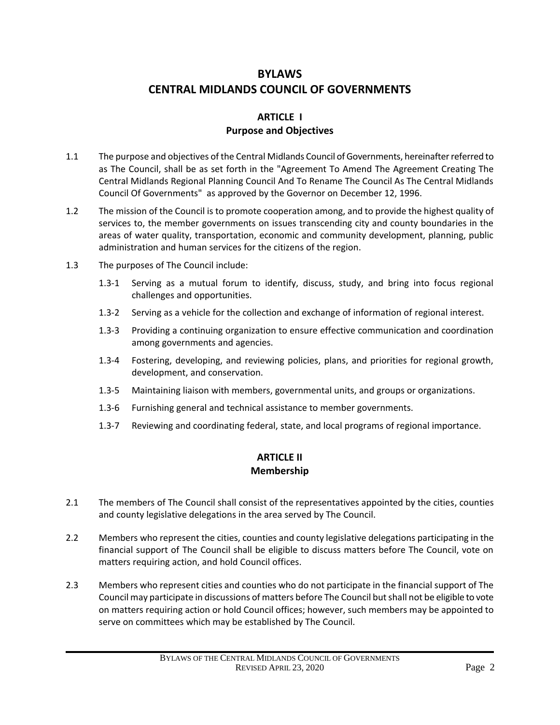## **BYLAWS CENTRAL MIDLANDS COUNCIL OF GOVERNMENTS**

#### **ARTICLE I Purpose and Objectives**

- 1.1 The purpose and objectives of the Central Midlands Council of Governments, hereinafter referred to as The Council, shall be as set forth in the "Agreement To Amend The Agreement Creating The Central Midlands Regional Planning Council And To Rename The Council As The Central Midlands Council Of Governments" as approved by the Governor on December 12, 1996.
- 1.2 The mission of the Council is to promote cooperation among, and to provide the highest quality of services to, the member governments on issues transcending city and county boundaries in the areas of water quality, transportation, economic and community development, planning, public administration and human services for the citizens of the region.
- 1.3 The purposes of The Council include:
	- 1.3-1 Serving as a mutual forum to identify, discuss, study, and bring into focus regional challenges and opportunities.
	- 1.3-2 Serving as a vehicle for the collection and exchange of information of regional interest.
	- 1.3-3 Providing a continuing organization to ensure effective communication and coordination among governments and agencies.
	- 1.3-4 Fostering, developing, and reviewing policies, plans, and priorities for regional growth, development, and conservation.
	- 1.3-5 Maintaining liaison with members, governmental units, and groups or organizations.
	- 1.3-6 Furnishing general and technical assistance to member governments.
	- 1.3-7 Reviewing and coordinating federal, state, and local programs of regional importance.

## **ARTICLE II Membership**

- 2.1 The members of The Council shall consist of the representatives appointed by the cities, counties and county legislative delegations in the area served by The Council.
- 2.2 Members who represent the cities, counties and county legislative delegations participating in the financial support of The Council shall be eligible to discuss matters before The Council, vote on matters requiring action, and hold Council offices.
- 2.3 Members who represent cities and counties who do not participate in the financial support of The Council may participate in discussions of matters before The Council but shall not be eligible to vote on matters requiring action or hold Council offices; however, such members may be appointed to serve on committees which may be established by The Council.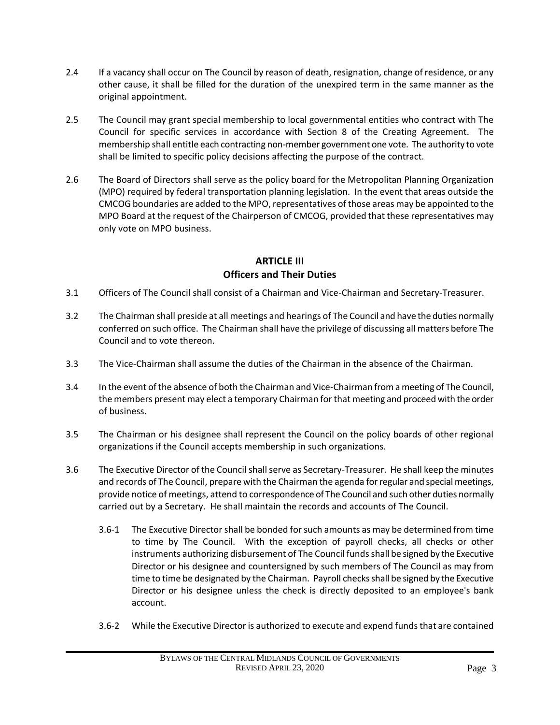- 2.4 If a vacancy shall occur on The Council by reason of death, resignation, change of residence, or any other cause, it shall be filled for the duration of the unexpired term in the same manner as the original appointment.
- 2.5 The Council may grant special membership to local governmental entities who contract with The Council for specific services in accordance with Section 8 of the Creating Agreement. The membership shall entitle each contracting non-member government one vote. The authority to vote shall be limited to specific policy decisions affecting the purpose of the contract.
- 2.6 The Board of Directors shall serve as the policy board for the Metropolitan Planning Organization (MPO) required by federal transportation planning legislation. In the event that areas outside the CMCOG boundaries are added to the MPO, representatives of those areas may be appointed to the MPO Board at the request of the Chairperson of CMCOG, provided that these representatives may only vote on MPO business.

#### **ARTICLE III Officers and Their Duties**

- 3.1 Officers of The Council shall consist of a Chairman and Vice-Chairman and Secretary-Treasurer.
- 3.2 The Chairman shall preside at all meetings and hearings of The Council and have the duties normally conferred on such office. The Chairman shall have the privilege of discussing all matters before The Council and to vote thereon.
- 3.3 The Vice-Chairman shall assume the duties of the Chairman in the absence of the Chairman.
- 3.4 In the event of the absence of both the Chairman and Vice-Chairman from a meeting of The Council, the members present may elect a temporary Chairman for that meeting and proceed with the order of business.
- 3.5 The Chairman or his designee shall represent the Council on the policy boards of other regional organizations if the Council accepts membership in such organizations.
- 3.6 The Executive Director of the Council shall serve as Secretary-Treasurer. He shall keep the minutes and records of The Council, prepare with the Chairman the agenda for regular and special meetings, provide notice of meetings, attend to correspondence of The Council and such other duties normally carried out by a Secretary. He shall maintain the records and accounts of The Council.
	- 3.6-1 The Executive Director shall be bonded for such amounts as may be determined from time to time by The Council. With the exception of payroll checks, all checks or other instruments authorizing disbursement of The Council funds shall be signed by the Executive Director or his designee and countersigned by such members of The Council as may from time to time be designated by the Chairman. Payroll checks shall be signed by the Executive Director or his designee unless the check is directly deposited to an employee's bank account.
	- 3.6-2 While the Executive Director is authorized to execute and expend funds that are contained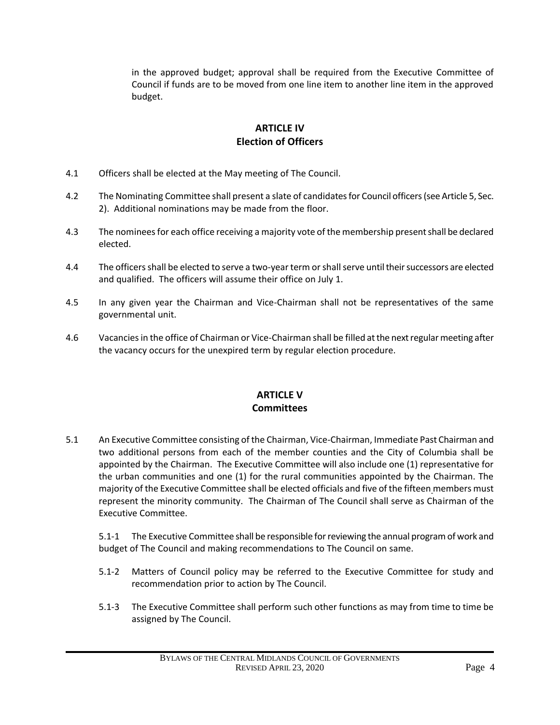in the approved budget; approval shall be required from the Executive Committee of Council if funds are to be moved from one line item to another line item in the approved budget.

## **ARTICLE IV Election of Officers**

- 4.1 Officers shall be elected at the May meeting of The Council.
- 4.2 The Nominating Committee shall present a slate of candidates for Council officers (see Article 5, Sec. 2). Additional nominations may be made from the floor.
- 4.3 The nominees for each office receiving a majority vote of the membership present shall be declared elected.
- 4.4 The officers shall be elected to serve a two-year term or shall serve until their successors are elected and qualified. The officers will assume their office on July 1.
- 4.5 In any given year the Chairman and Vice-Chairman shall not be representatives of the same governmental unit.
- 4.6 Vacancies in the office of Chairman or Vice-Chairman shall be filled at the next regular meeting after the vacancy occurs for the unexpired term by regular election procedure.

## **ARTICLE V Committees**

5.1 An Executive Committee consisting of the Chairman, Vice-Chairman, Immediate Past Chairman and two additional persons from each of the member counties and the City of Columbia shall be appointed by the Chairman. The Executive Committee will also include one (1) representative for the urban communities and one (1) for the rural communities appointed by the Chairman. The majority of the Executive Committee shall be elected officials and five of the fifteen members must represent the minority community. The Chairman of The Council shall serve as Chairman of the Executive Committee.

 5.1-1 The Executive Committee shall be responsible for reviewing the annual program of work and budget of The Council and making recommendations to The Council on same.

- 5.1-2 Matters of Council policy may be referred to the Executive Committee for study and recommendation prior to action by The Council.
- 5.1-3 The Executive Committee shall perform such other functions as may from time to time be assigned by The Council.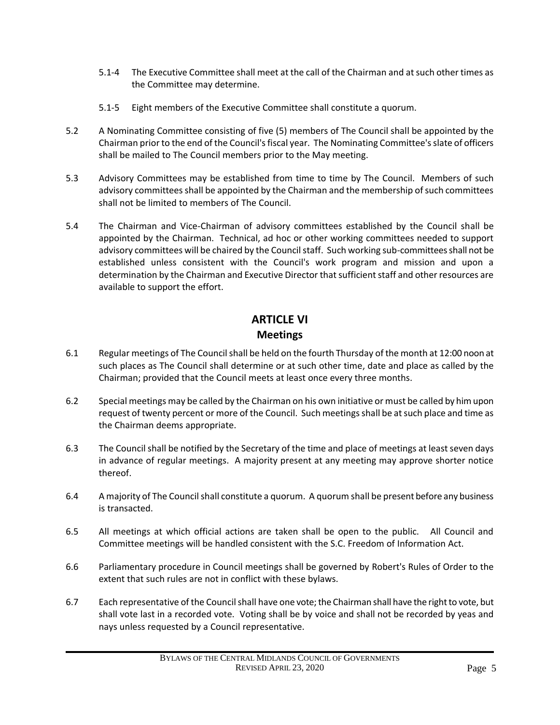- 5.1-4 The Executive Committee shall meet at the call of the Chairman and at such other times as the Committee may determine.
- 5.1-5 Eight members of the Executive Committee shall constitute a quorum.
- 5.2 A Nominating Committee consisting of five (5) members of The Council shall be appointed by the Chairman prior to the end of the Council's fiscal year. The Nominating Committee's slate of officers shall be mailed to The Council members prior to the May meeting.
- 5.3 Advisory Committees may be established from time to time by The Council. Members of such advisory committees shall be appointed by the Chairman and the membership of such committees shall not be limited to members of The Council.
- 5.4 The Chairman and Vice-Chairman of advisory committees established by the Council shall be appointed by the Chairman. Technical, ad hoc or other working committees needed to support advisory committees will be chaired by the Council staff. Such working sub-committees shall not be established unless consistent with the Council's work program and mission and upon a determination by the Chairman and Executive Director that sufficient staff and other resources are available to support the effort.

# **ARTICLE VI Meetings**

- 6.1 Regular meetings of The Council shall be held on the fourth Thursday of the month at 12:00 noon at such places as The Council shall determine or at such other time, date and place as called by the Chairman; provided that the Council meets at least once every three months.
- 6.2 Special meetings may be called by the Chairman on his own initiative or must be called by him upon request of twenty percent or more of the Council. Such meetings shall be at such place and time as the Chairman deems appropriate.
- 6.3 The Council shall be notified by the Secretary of the time and place of meetings at least seven days in advance of regular meetings. A majority present at any meeting may approve shorter notice thereof.
- 6.4 A majority of The Council shall constitute a quorum. A quorum shall be present before any business is transacted.
- 6.5 All meetings at which official actions are taken shall be open to the public. All Council and Committee meetings will be handled consistent with the S.C. Freedom of Information Act.
- 6.6 Parliamentary procedure in Council meetings shall be governed by Robert's Rules of Order to the extent that such rules are not in conflict with these bylaws.
- 6.7 Each representative of the Council shall have one vote; the Chairman shall have the right to vote, but shall vote last in a recorded vote. Voting shall be by voice and shall not be recorded by yeas and nays unless requested by a Council representative.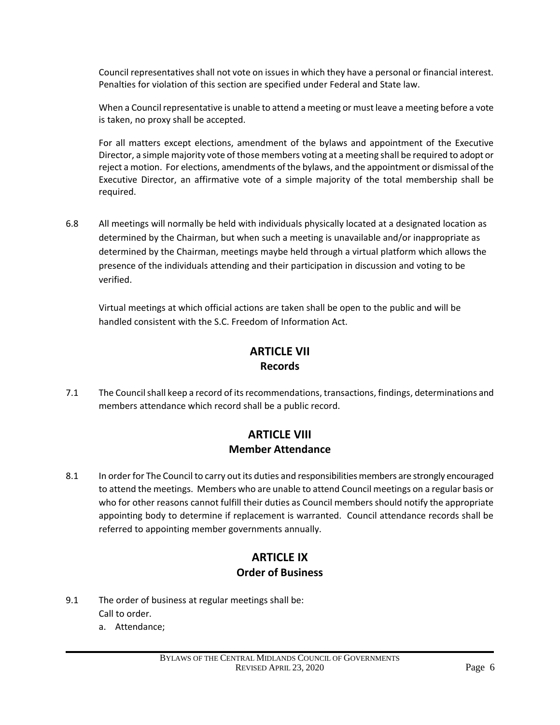Council representatives shall not vote on issues in which they have a personal or financial interest. Penalties for violation of this section are specified under Federal and State law.

When a Council representative is unable to attend a meeting or must leave a meeting before a vote is taken, no proxy shall be accepted.

For all matters except elections, amendment of the bylaws and appointment of the Executive Director, a simple majority vote of those members voting at a meeting shall be required to adopt or reject a motion. For elections, amendments of the bylaws, and the appointment or dismissal of the Executive Director, an affirmative vote of a simple majority of the total membership shall be required.

6.8 All meetings will normally be held with individuals physically located at a designated location as determined by the Chairman, but when such a meeting is unavailable and/or inappropriate as determined by the Chairman, meetings maybe held through a virtual platform which allows the presence of the individuals attending and their participation in discussion and voting to be verified.

Virtual meetings at which official actions are taken shall be open to the public and will be handled consistent with the S.C. Freedom of Information Act.

## **ARTICLE VII Records**

7.1 The Council shall keep a record of its recommendations, transactions, findings, determinations and members attendance which record shall be a public record.

## **ARTICLE VIII Member Attendance**

8.1 In order for The Council to carry out its duties and responsibilities members are strongly encouraged to attend the meetings. Members who are unable to attend Council meetings on a regular basis or who for other reasons cannot fulfill their duties as Council members should notify the appropriate appointing body to determine if replacement is warranted. Council attendance records shall be referred to appointing member governments annually.

# **ARTICLE IX Order of Business**

- 9.1 The order of business at regular meetings shall be: Call to order.
	- a. Attendance;